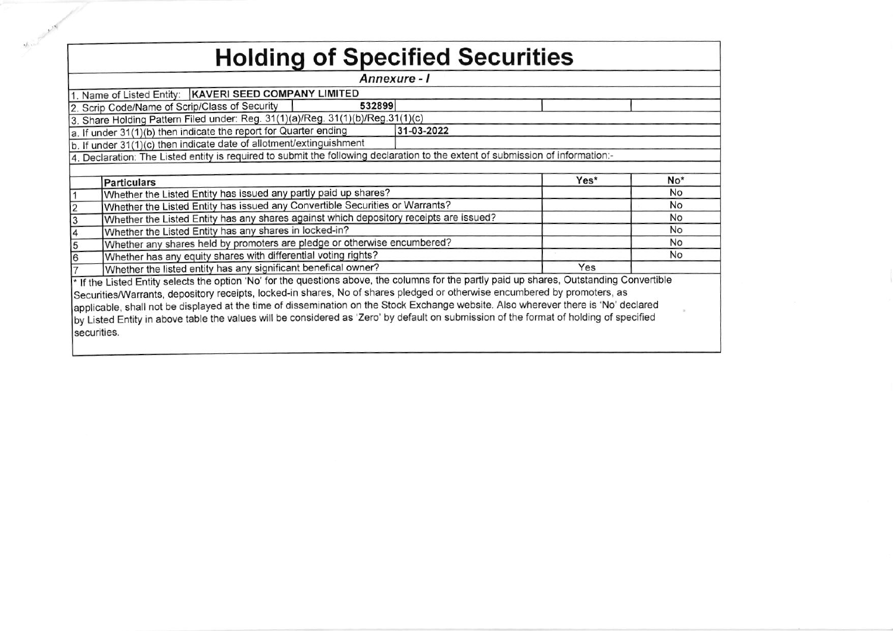|             | <b>Holding of Specified Securities</b>                                                                                                     |            |      |                 |
|-------------|--------------------------------------------------------------------------------------------------------------------------------------------|------------|------|-----------------|
|             | Annexure - I                                                                                                                               |            |      |                 |
|             | 1. Name of Listed Entity:   KAVERI SEED COMPANY LIMITED                                                                                    |            |      |                 |
|             | 532899<br>2. Scrip Code/Name of Scrip/Class of Security                                                                                    |            |      |                 |
|             | 3. Share Holding Pattern Filed under: Reg. 31(1)(a)/Reg. 31(1)(b)/Reg.31(1)(c)                                                             |            |      |                 |
|             | a. If under 31(1)(b) then indicate the report for Quarter ending                                                                           | 31-03-2022 |      |                 |
|             | b. If under 31(1)(c) then indicate date of allotment/extinguishment                                                                        |            |      |                 |
|             | 4. Declaration: The Listed entity is required to submit the following declaration to the extent of submission of information:              |            |      |                 |
|             |                                                                                                                                            |            |      |                 |
|             | <b>Particulars</b>                                                                                                                         |            | Yes* | No <sup>*</sup> |
|             | Whether the Listed Entity has issued any partly paid up shares?                                                                            |            |      | No              |
|             | Whether the Listed Entity has issued any Convertible Securities or Warrants?                                                               |            |      | No              |
|             | Whether the Listed Entity has any shares against which depository receipts are issued?                                                     |            |      | <b>No</b>       |
|             | Whether the Listed Entity has any shares in locked-in?                                                                                     |            |      | <b>No</b>       |
|             | Whether any shares held by promoters are pledge or otherwise encumbered?                                                                   |            |      | <b>No</b>       |
|             | Whether has any equity shares with differential voting rights?                                                                             |            |      | <b>No</b>       |
|             | Whether the listed entity has any significant benefical owner?                                                                             |            | Yes  |                 |
|             | * If the Listed Entity selects the option 'No' for the questions above, the columns for the partly paid up shares, Outstanding Convertible |            |      |                 |
|             | Securities/Warrants, depository receipts, locked-in shares, No of shares pledged or otherwise encumbered by promoters, as                  |            |      |                 |
|             | applicable, shall not be displayed at the time of dissemination on the Stock Exchange website. Also wherever there is 'No' declared        |            |      |                 |
|             | by Listed Entity in above table the values will be considered as 'Zero' by default on submission of the format of holding of specified     |            |      |                 |
| securities. |                                                                                                                                            |            |      |                 |
|             |                                                                                                                                            |            |      |                 |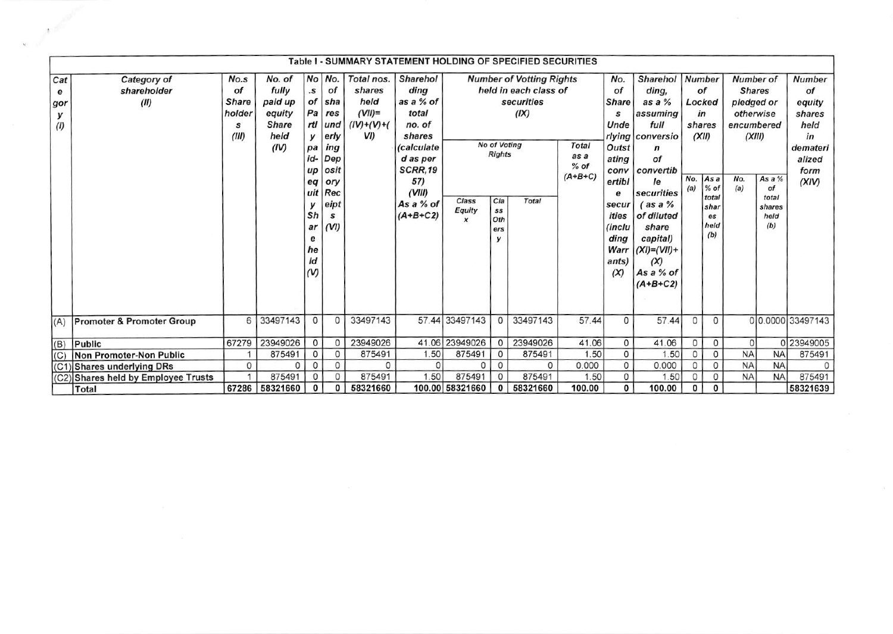|                             |                                     |                                                         |                                                                                  |                                                                                                        |                                                                                                                           | Table I - SUMMARY STATEMENT HOLDING OF SPECIFIED SECURITIES                    |                                                                                                                                                    |                                                       |                                                                                      |                                                                                                            |                                                      |                                                                                                                                                         |                                                                                                                                                                                                                                       |                                                                           |                                                                  |                                                                                             |                                                |                                                                                                            |
|-----------------------------|-------------------------------------|---------------------------------------------------------|----------------------------------------------------------------------------------|--------------------------------------------------------------------------------------------------------|---------------------------------------------------------------------------------------------------------------------------|--------------------------------------------------------------------------------|----------------------------------------------------------------------------------------------------------------------------------------------------|-------------------------------------------------------|--------------------------------------------------------------------------------------|------------------------------------------------------------------------------------------------------------|------------------------------------------------------|---------------------------------------------------------------------------------------------------------------------------------------------------------|---------------------------------------------------------------------------------------------------------------------------------------------------------------------------------------------------------------------------------------|---------------------------------------------------------------------------|------------------------------------------------------------------|---------------------------------------------------------------------------------------------|------------------------------------------------|------------------------------------------------------------------------------------------------------------|
| Cat<br>е<br>gor<br>У<br>(1) | Category of<br>shareholder<br>(II)  | No.s<br>of<br><b>Share</b><br>holder<br>s<br>(III)<br>6 | No. of<br>fully<br>paid up<br>equity<br><b>Share</b><br>held<br>(IV)<br>33497143 | $\cdot$ s<br>Pa<br>у<br>pa<br>id-<br>up<br>eq<br>У<br>Sh<br>ar<br>е<br>he<br>ld<br>(V)<br>$\mathbf{0}$ | No No.<br>of<br>of sha<br>res<br>rtl und<br>erly<br>ing<br>Dep<br>osit<br>ory<br>uit Rec<br>eipt<br>S<br>(VI)<br>$\Omega$ | Total nos.<br>shares<br>held<br>$(VII)$ =<br>$(IV)+(V)+(V)$<br>VI)<br>33497143 | <b>Sharehol</b><br>ding<br>as a % of<br>total<br>no. of<br>shares<br>(calculate<br>d as per<br>SCRR,19<br>57)<br>(VIII)<br>As a % of<br>$(A+B+C2)$ | Class<br>Equity<br>$\boldsymbol{x}$<br>57.44 33497143 | <b>No of Voting</b><br><b>Rights</b><br>C/a<br>SS<br>Oth<br>ers<br>v<br>$\mathbf{0}$ | <b>Number of Votting Rights</b><br>held in each class of<br>securities<br>(IX)<br><b>Total</b><br>33497143 | <b>Total</b><br>as a<br>$%$ of<br>$(A+B+C)$<br>57.44 | No.<br>of<br><b>Share</b><br>s<br>Unde<br>Outst<br>ating<br>conv<br>ertibl<br>е<br>secur<br>ities<br>(inclu<br>ding<br>Warr<br>ants)<br>(X)<br>$\Omega$ | <b>Sharehol</b><br>ding,<br>as a %<br>assuming<br>full<br>rlying conversio<br>n<br>of<br>convertib<br>le<br>securities<br>$($ as a $%$<br>of diluted<br>share<br>capital)<br>$(XI)=(VII)+$<br>(X)<br>As a % of<br>$(A+B+C2)$<br>57.44 | Number<br>of<br>Locked<br>in<br>shares<br>(XII)<br>No.<br>(a)<br>$\Omega$ | As a<br>$%$ of<br>total<br>shar<br>es<br>held<br>(b)<br>$\Omega$ | Number of<br><b>Shares</b><br>pledged or<br>otherwise<br>encumbered<br>(XIII)<br>No.<br>(a) | As a %<br>of<br>total<br>shares<br>held<br>(b) | Number<br>of<br>equity<br>shares<br>held<br>in<br>demateri<br>alized<br>form<br>(XIV)<br>0 0.0000 33497143 |
|                             | (A) Promoter & Promoter Group       |                                                         |                                                                                  |                                                                                                        |                                                                                                                           |                                                                                |                                                                                                                                                    |                                                       |                                                                                      |                                                                                                            |                                                      |                                                                                                                                                         |                                                                                                                                                                                                                                       |                                                                           |                                                                  |                                                                                             |                                                |                                                                                                            |
| (B)                         | Public                              | 67279                                                   | 23949026                                                                         | $\mathbf{0}$                                                                                           | 0                                                                                                                         | 23949026                                                                       |                                                                                                                                                    | 41.06 23949026                                        | 0                                                                                    | 23949026                                                                                                   | 41.06                                                | 0                                                                                                                                                       | 41.06                                                                                                                                                                                                                                 | $\mathbf{O}$                                                              | 0                                                                | $\Omega$                                                                                    |                                                | 0 23949005                                                                                                 |
| (C)                         | Non Promoter-Non Public             |                                                         | 875491                                                                           | 0                                                                                                      | 0                                                                                                                         | 875491                                                                         | 1.50                                                                                                                                               | 875491                                                | 0                                                                                    | 875491                                                                                                     | 1.50                                                 | $\mathbf 0$                                                                                                                                             | 1.50                                                                                                                                                                                                                                  | $\circ$                                                                   | 0                                                                | <b>NA</b>                                                                                   | <b>NA</b>                                      | 875491                                                                                                     |
|                             | (C1) Shares underlying DRs          | 0                                                       |                                                                                  | $\mathbf{0}$                                                                                           | 0                                                                                                                         | $\Omega$                                                                       |                                                                                                                                                    | 0                                                     | 0                                                                                    | $\Omega$                                                                                                   | 0.000                                                | 0                                                                                                                                                       | 0.000                                                                                                                                                                                                                                 | $\circ$                                                                   | 0                                                                | <b>NA</b>                                                                                   | <b>NA</b>                                      | O                                                                                                          |
|                             | (C2) Shares held by Employee Trusts |                                                         | 875491                                                                           | $\mathbf{0}$                                                                                           | 0                                                                                                                         | 875491                                                                         | 1.50                                                                                                                                               | 875491                                                | $^{\circ}$                                                                           | 875491                                                                                                     | 1.50                                                 | $\Omega$                                                                                                                                                | 1.50                                                                                                                                                                                                                                  | $\Omega$                                                                  | $\circ$                                                          | <b>NA</b>                                                                                   | <b>NA</b>                                      | 875491                                                                                                     |
|                             | Total                               | 67286                                                   | 58321660                                                                         | $\mathbf{0}$                                                                                           | 0                                                                                                                         | 58321660                                                                       |                                                                                                                                                    | 100.00 58321660                                       | 0                                                                                    | 58321660                                                                                                   | 100.00                                               | $\mathbf{0}$                                                                                                                                            | 100.00                                                                                                                                                                                                                                | $\mathbf{0}$                                                              | $\mathbf{0}$                                                     |                                                                                             |                                                | 58321639                                                                                                   |

A STORES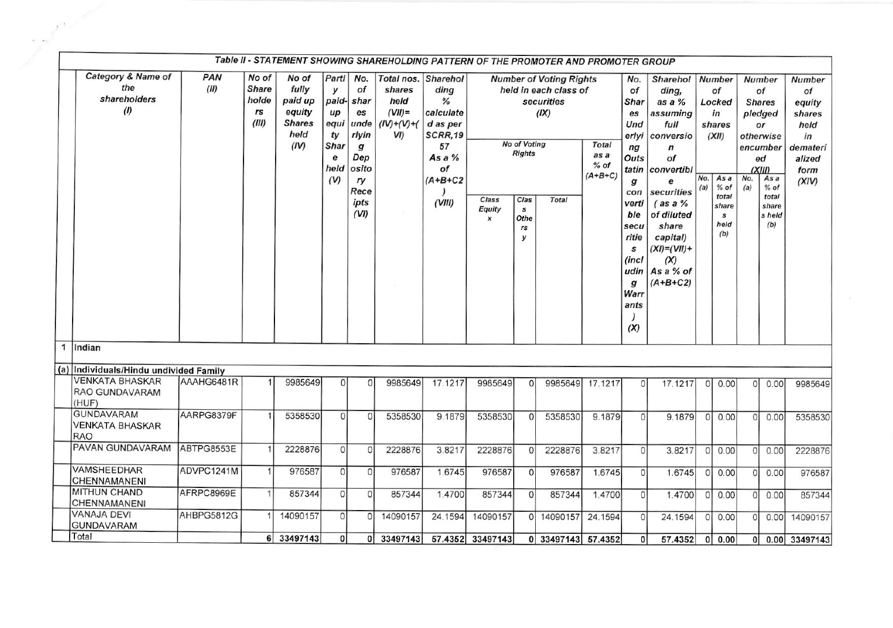|                                         |                                                                             |             |                                               |                                                                      |                                                                     |                                                                                                            | Table II - STATEMENT SHOWING SHAREHOLDING PATTERN OF THE PROMOTER AND PROMOTER GROUP |                                                                                                                   |                                     |                                                                          |                                                                                               |                                             |                                                                                                                                              |                                                                                                                                                                                                                                                     |              |                                                                                                                      |            |                                                                                                                                                     |                                                         |
|-----------------------------------------|-----------------------------------------------------------------------------|-------------|-----------------------------------------------|----------------------------------------------------------------------|---------------------------------------------------------------------|------------------------------------------------------------------------------------------------------------|--------------------------------------------------------------------------------------|-------------------------------------------------------------------------------------------------------------------|-------------------------------------|--------------------------------------------------------------------------|-----------------------------------------------------------------------------------------------|---------------------------------------------|----------------------------------------------------------------------------------------------------------------------------------------------|-----------------------------------------------------------------------------------------------------------------------------------------------------------------------------------------------------------------------------------------------------|--------------|----------------------------------------------------------------------------------------------------------------------|------------|-----------------------------------------------------------------------------------------------------------------------------------------------------|---------------------------------------------------------|
|                                         | Category & Name of<br>the<br>shareholders<br>(1)                            | PAN<br>(11) | No of<br><b>Share</b><br>holde<br>rs<br>(III) | No of<br>fully<br>paid up<br>equity<br><b>Shares</b><br>held<br>(IV) | Partl<br>у<br>paid-<br>up<br>equi<br>ty<br>Shar<br>е<br>held<br>(V) | No.<br>Οf<br>shar<br>es<br>unde<br>rlyin<br>$\boldsymbol{g}$<br>Dep<br>osito<br>ry<br>Rece<br>ipts<br>(VI) | shares<br>held<br>$(VII)$ =<br>$(IV)+(V)+(V)$<br>VI)<br>$\langle \sigma \rangle$     | Total nos. Sharehol<br>ding<br>℅<br>calculate<br>d as per<br>SCRR,19<br>57<br>As a %<br>οf<br>$(A+B+C2$<br>(VIII) | Class<br>Equity<br>$\boldsymbol{x}$ | No of Voting<br><b>Rights</b><br>Clas<br>$\mathbf{s}$<br>Othe<br>rs<br>у | <b>Number of Voting Rights</b><br>held in each class of<br>securities<br>(IX)<br><b>Total</b> | <b>Total</b><br>as a<br>$%$ of<br>$(A+B+C)$ | No.<br>of<br>Shar<br>es<br>Und<br>erlyi<br>ng<br>Outs<br>g<br>con<br>verti<br>ble<br>secu<br>ritie<br>s<br>(incl<br>g<br>Warr<br>ants<br>(X) | <b>Sharehol</b><br>ding,<br>as a %<br>assuming<br>full<br>conversio<br>$\boldsymbol{n}$<br>of<br>tatin convertibl<br>e<br>securities<br>$($ as a $%$<br>of diluted<br>share<br>capital)<br>$(XI)=(VII)+$<br>(X)<br>udin   As a $%$ of<br>$(A+B+C2)$ | (a)          | <b>Number</b><br>of<br>Locked<br>in<br>shares<br>(XII)<br>$No.$ As a<br>$%$ of<br>total<br>share<br>s<br>held<br>(b) | No.<br>(a) | <b>Number</b><br>of<br><b>Shares</b><br>pledged<br>or<br>otherwise<br>encumber<br>ed<br>(XIII)<br>As a<br>$%$ of<br>total<br>share<br>s held<br>(b) | <b>Number</b><br>equity<br>shares<br>demateri<br>alized |
| 1 Indian                                |                                                                             |             |                                               |                                                                      |                                                                     |                                                                                                            |                                                                                      |                                                                                                                   |                                     |                                                                          |                                                                                               |                                             |                                                                                                                                              |                                                                                                                                                                                                                                                     |              |                                                                                                                      |            |                                                                                                                                                     |                                                         |
| (HUF)                                   | (a) Individuals/Hindu undivided Family<br>VENKATA BHASKAR<br>RAO GUNDAVARAM | AAAHG6481R  |                                               | 9985649                                                              | Οl                                                                  | n                                                                                                          | 9985649                                                                              | 17.1217                                                                                                           | 9985649                             | $\Omega$                                                                 | 9985649                                                                                       | 17.1217                                     | $\Omega$                                                                                                                                     | 17.1217                                                                                                                                                                                                                                             | 0l           | 0.00                                                                                                                 | $\circ$    | 0.00                                                                                                                                                | 9985649                                                 |
| <b>GUNDAVARAM</b><br><b>RAO</b>         | <b>VENKATA BHASKAR</b>                                                      | AARPG8379F  |                                               | 5358530                                                              | 0                                                                   | $\Omega$                                                                                                   | 5358530                                                                              | 9.1879                                                                                                            | 5358530                             | $\Omega$                                                                 | 5358530                                                                                       | 9.1879                                      | $\Omega$                                                                                                                                     | 9.1879                                                                                                                                                                                                                                              | ΩI           | 0.00                                                                                                                 | $\circ$    | 0.00                                                                                                                                                | 5358530                                                 |
|                                         | PAVAN GUNDAVARAM                                                            | ABTPG8553E  |                                               | 2228876                                                              | 0                                                                   | $\Omega$                                                                                                   | 2228876                                                                              | 3.8217                                                                                                            | 2228876                             | 0                                                                        | 2228876                                                                                       | 3.8217                                      | 0                                                                                                                                            | 3.8217                                                                                                                                                                                                                                              | $\circ$      | 0.00                                                                                                                 | 0          | 0.00                                                                                                                                                | 2228876                                                 |
| <b>VAMSHEEDHAR</b><br>CHENNAMANENI      |                                                                             | ADVPC1241M  | 1                                             | 976587                                                               | $\Omega$                                                            | $\Omega$                                                                                                   | 976587                                                                               | 1.6745                                                                                                            | 976587                              | 0                                                                        | 976587                                                                                        | 1.6745                                      | $\Omega$                                                                                                                                     | 1.6745                                                                                                                                                                                                                                              | <sup>O</sup> | 0.00                                                                                                                 | $\Omega$   | 0.00                                                                                                                                                |                                                         |
| <b>MITHUN CHAND</b><br>CHENNAMANENI     |                                                                             | AFRPC8969E  | $\mathbf{1}$                                  | 857344                                                               | 0                                                                   | $\Omega$                                                                                                   | 857344                                                                               | 1.4700                                                                                                            | 857344                              | 0                                                                        | 857344                                                                                        | 1.4700                                      | $\Omega$                                                                                                                                     | 1.4700                                                                                                                                                                                                                                              | 0            | 0.00                                                                                                                 | 0          | 0.00                                                                                                                                                |                                                         |
| <b>VANAJA DEVI</b><br><b>GUNDAVARAM</b> |                                                                             | AHBPG5812G  |                                               | 14090157                                                             | $\Omega$                                                            | $\overline{0}$                                                                                             | 14090157                                                                             | 24.1594                                                                                                           | 14090157                            |                                                                          | 0 14090157                                                                                    | 24.1594                                     | $\Omega$                                                                                                                                     | 24.1594                                                                                                                                                                                                                                             | 0            | 0.00                                                                                                                 | $\Omega$   | 0.001                                                                                                                                               | 14090157                                                |
| Total                                   |                                                                             |             |                                               |                                                                      |                                                                     |                                                                                                            |                                                                                      |                                                                                                                   |                                     |                                                                          |                                                                                               |                                             |                                                                                                                                              |                                                                                                                                                                                                                                                     |              |                                                                                                                      |            |                                                                                                                                                     |                                                         |